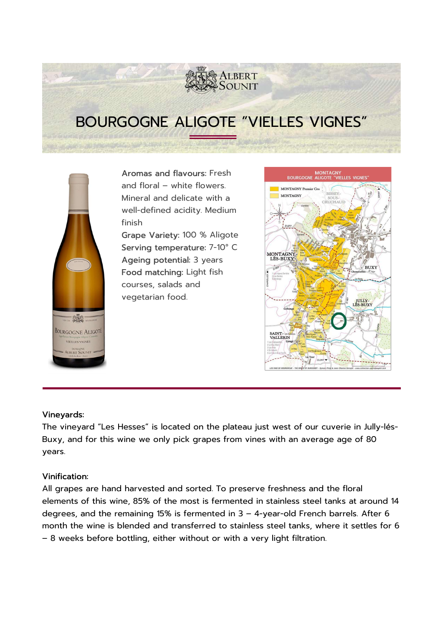

# BOURGOGNE ALIGOTE "VIELLES VIGNES"



Aromas and flavours: Fresh and floral – white flowers. Mineral and delicate with a well-defined acidity. Medium finish

Grape Variety: 100 % Aligote Serving temperature: 7-10° C Ageing potential: 3 years Food matching: Light fish courses, salads and vegetarian food.



## Vineyards:

The vineyard "Les Hesses" is located on the plateau just west of our cuverie in Jully-lés-Buxy, and for this wine we only pick grapes from vines with an average age of 80 years.

## Vinification:

All grapes are hand harvested and sorted. To preserve freshness and the floral elements of this wine, 85% of the most is fermented in stainless steel tanks at around 14 degrees, and the remaining 15% is fermented in  $3 - 4$ -year-old French barrels. After 6 month the wine is blended and transferred to stainless steel tanks, where it settles for 6 – 8 weeks before bottling, either without or with a very light filtration.